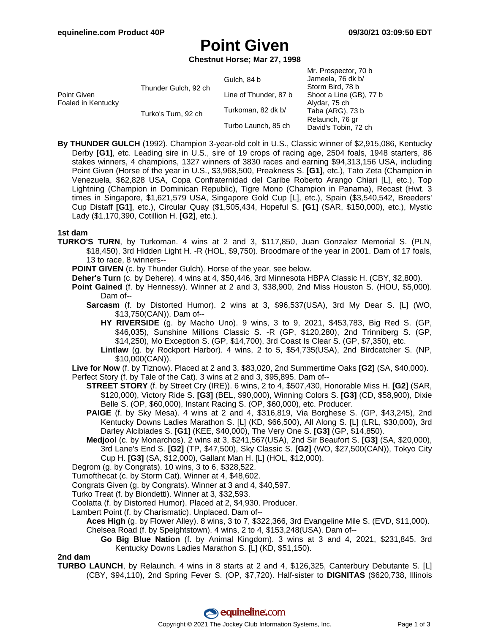# **Point Given**

**Chestnut Horse; Mar 27, 1998**

|                                   |                      |                       | Mr. Prospector, 70 b    |
|-----------------------------------|----------------------|-----------------------|-------------------------|
| Point Given<br>Foaled in Kentucky | Thunder Gulch, 92 ch | Gulch, 84 b           | Jameela, 76 dk b/       |
|                                   |                      |                       | Storm Bird, 78 b        |
|                                   |                      | Line of Thunder, 87 b | Shoot a Line (GB), 77 b |
|                                   |                      |                       | Alydar, 75 ch           |
|                                   | Turko's Turn, 92 ch  | Turkoman, 82 dk b/    | Taba (ARG), 73 b        |
|                                   |                      |                       | Relaunch, 76 gr         |
|                                   |                      | Turbo Launch, 85 ch   | David's Tobin, 72 ch    |
|                                   |                      |                       |                         |

**By THUNDER GULCH** (1992). Champion 3-year-old colt in U.S., Classic winner of \$2,915,086, Kentucky Derby **[G1]**, etc. Leading sire in U.S., sire of 19 crops of racing age, 2504 foals, 1948 starters, 86 stakes winners, 4 champions, 1327 winners of 3830 races and earning \$94,313,156 USA, including Point Given (Horse of the year in U.S., \$3,968,500, Preakness S. **[G1]**, etc.), Tato Zeta (Champion in Venezuela, \$62,828 USA, Copa Confraternidad del Caribe Roberto Arango Chiari [L], etc.), Top Lightning (Champion in Dominican Republic), Tigre Mono (Champion in Panama), Recast (Hwt. 3 times in Singapore, \$1,621,579 USA, Singapore Gold Cup [L], etc.), Spain (\$3,540,542, Breeders' Cup Distaff **[G1]**, etc.), Circular Quay (\$1,505,434, Hopeful S. **[G1]** (SAR, \$150,000), etc.), Mystic Lady (\$1,170,390, Cotillion H. **[G2]**, etc.).

### **1st dam**

**TURKO'S TURN**, by Turkoman. 4 wins at 2 and 3, \$117,850, Juan Gonzalez Memorial S. (PLN, \$18,450), 3rd Hidden Light H. -R (HOL, \$9,750). Broodmare of the year in 2001. Dam of 17 foals, 13 to race, 8 winners--

**POINT GIVEN** (c. by Thunder Gulch). Horse of the year, see below.

- **Deher's Turn** (c. by Dehere). 4 wins at 4, \$50,446, 3rd Minnesota HBPA Classic H. (CBY, \$2,800).
- **Point Gained** (f. by Hennessy). Winner at 2 and 3, \$38,900, 2nd Miss Houston S. (HOU, \$5,000). Dam of--
	- **Sarcasm** (f. by Distorted Humor). 2 wins at 3, \$96,537(USA), 3rd My Dear S. [L] (WO, \$13,750(CAN)). Dam of--
		- **HY RIVERSIDE** (g. by Macho Uno). 9 wins, 3 to 9, 2021, \$453,783, Big Red S. (GP, \$46,035), Sunshine Millions Classic S. -R (GP, \$120,280), 2nd Trinniberg S. (GP, \$14,250), Mo Exception S. (GP, \$14,700), 3rd Coast Is Clear S. (GP, \$7,350), etc.
		- **Lintlaw** (g. by Rockport Harbor). 4 wins, 2 to 5, \$54,735(USA), 2nd Birdcatcher S. (NP, \$10,000(CAN)).

**Live for Now** (f. by Tiznow). Placed at 2 and 3, \$83,020, 2nd Summertime Oaks **[G2]** (SA, \$40,000).

- Perfect Story (f. by Tale of the Cat). 3 wins at 2 and 3, \$95,895. Dam of--
	- **STREET STORY** (f. by Street Cry (IRE)). 6 wins, 2 to 4, \$507,430, Honorable Miss H. **[G2]** (SAR, \$120,000), Victory Ride S. **[G3]** (BEL, \$90,000), Winning Colors S. **[G3]** (CD, \$58,900), Dixie Belle S. (OP, \$60,000), Instant Racing S. (OP, \$60,000), etc. Producer.
	- **PAIGE** (f. by Sky Mesa). 4 wins at 2 and 4, \$316,819, Via Borghese S. (GP, \$43,245), 2nd Kentucky Downs Ladies Marathon S. [L] (KD, \$66,500), All Along S. [L] (LRL, \$30,000), 3rd Darley Alcibiades S. **[G1]** (KEE, \$40,000), The Very One S. **[G3]** (GP, \$14,850).
	- **Medjool** (c. by Monarchos). 2 wins at 3, \$241,567(USA), 2nd Sir Beaufort S. **[G3]** (SA, \$20,000), 3rd Lane's End S. **[G2]** (TP, \$47,500), Sky Classic S. **[G2]** (WO, \$27,500(CAN)), Tokyo City Cup H. **[G3]** (SA, \$12,000), Gallant Man H. [L] (HOL, \$12,000).
- Degrom (g. by Congrats). 10 wins, 3 to 6, \$328,522.
- Turnofthecat (c. by Storm Cat). Winner at 4, \$48,602.
- Congrats Given (g. by Congrats). Winner at 3 and 4, \$40,597.
- Turko Treat (f. by Biondetti). Winner at 3, \$32,593.

Coolatta (f. by Distorted Humor). Placed at 2, \$4,930. Producer.

Lambert Point (f. by Charismatic). Unplaced. Dam of--

**Aces High** (g. by Flower Alley). 8 wins, 3 to 7, \$322,366, 3rd Evangeline Mile S. (EVD, \$11,000). Chelsea Road (f. by Speightstown). 4 wins, 2 to 4, \$153,248(USA). Dam of--

**Go Big Blue Nation** (f. by Animal Kingdom). 3 wins at 3 and 4, 2021, \$231,845, 3rd Kentucky Downs Ladies Marathon S. [L] (KD, \$51,150).

### **2nd dam**

**TURBO LAUNCH**, by Relaunch. 4 wins in 8 starts at 2 and 4, \$126,325, Canterbury Debutante S. [L] (CBY, \$94,110), 2nd Spring Fever S. (OP, \$7,720). Half-sister to **DIGNITAS** (\$620,738, Illinois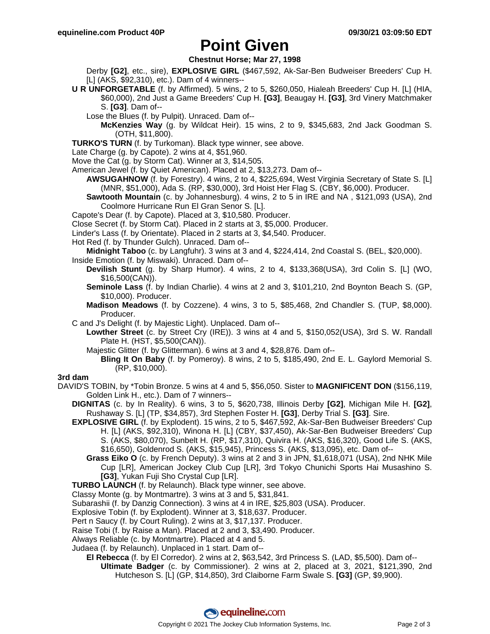## **Point Given**

## **Chestnut Horse; Mar 27, 1998**

Derby **[G2]**, etc., sire), **EXPLOSIVE GIRL** (\$467,592, Ak-Sar-Ben Budweiser Breeders' Cup H. [L] (AKS, \$92,310), etc.). Dam of 4 winners--

- **U R UNFORGETABLE** (f. by Affirmed). 5 wins, 2 to 5, \$260,050, Hialeah Breeders' Cup H. [L] (HIA, \$60,000), 2nd Just a Game Breeders' Cup H. **[G3]**, Beaugay H. **[G3]**, 3rd Vinery Matchmaker S. **[G3]**. Dam of--
	- Lose the Blues (f. by Pulpit). Unraced. Dam of--
		- **McKenzies Way** (g. by Wildcat Heir). 15 wins, 2 to 9, \$345,683, 2nd Jack Goodman S. (OTH, \$11,800).
- **TURKO'S TURN** (f. by Turkoman). Black type winner, see above.
- Late Charge (g. by Capote). 2 wins at 4, \$51,960.
- Move the Cat (g. by Storm Cat). Winner at 3, \$14,505.
- American Jewel (f. by Quiet American). Placed at 2, \$13,273. Dam of--
	- **AWSUGAHNOW** (f. by Forestry). 4 wins, 2 to 4, \$225,694, West Virginia Secretary of State S. [L] (MNR, \$51,000), Ada S. (RP, \$30,000), 3rd Hoist Her Flag S. (CBY, \$6,000). Producer.
	- **Sawtooth Mountain** (c. by Johannesburg). 4 wins, 2 to 5 in IRE and NA , \$121,093 (USA), 2nd Coolmore Hurricane Run El Gran Senor S. [L].
- Capote's Dear (f. by Capote). Placed at 3, \$10,580. Producer.
- Close Secret (f. by Storm Cat). Placed in 2 starts at 3, \$5,000. Producer.
- Linder's Lass (f. by Orientate). Placed in 2 starts at 3, \$4,540. Producer.
- Hot Red (f. by Thunder Gulch). Unraced. Dam of--

**Midnight Taboo** (c. by Langfuhr). 3 wins at 3 and 4, \$224,414, 2nd Coastal S. (BEL, \$20,000).

- Inside Emotion (f. by Miswaki). Unraced. Dam of--
	- **Devilish Stunt** (g. by Sharp Humor). 4 wins, 2 to 4, \$133,368(USA), 3rd Colin S. [L] (WO, \$16,500(CAN)).
	- **Seminole Lass** (f. by Indian Charlie). 4 wins at 2 and 3, \$101,210, 2nd Boynton Beach S. (GP, \$10,000). Producer.
	- **Madison Meadows** (f. by Cozzene). 4 wins, 3 to 5, \$85,468, 2nd Chandler S. (TUP, \$8,000). Producer.
- C and J's Delight (f. by Majestic Light). Unplaced. Dam of--
	- **Lowther Street** (c. by Street Cry (IRE)). 3 wins at 4 and 5, \$150,052(USA), 3rd S. W. Randall Plate H. (HST, \$5,500(CAN)).
	- Majestic Glitter (f. by Glitterman). 6 wins at 3 and 4, \$28,876. Dam of--
		- **Bling It On Baby** (f. by Pomeroy). 8 wins, 2 to 5, \$185,490, 2nd E. L. Gaylord Memorial S. (RP, \$10,000).

### **3rd dam**

- DAVID'S TOBIN, by \*Tobin Bronze. 5 wins at 4 and 5, \$56,050. Sister to **MAGNIFICENT DON** (\$156,119, Golden Link H., etc.). Dam of 7 winners--
	- **DIGNITAS** (c. by In Reality). 6 wins, 3 to 5, \$620,738, Illinois Derby **[G2]**, Michigan Mile H. **[G2]**, Rushaway S. [L] (TP, \$34,857), 3rd Stephen Foster H. **[G3]**, Derby Trial S. **[G3]**. Sire.
	- **EXPLOSIVE GIRL** (f. by Explodent). 15 wins, 2 to 5, \$467,592, Ak-Sar-Ben Budweiser Breeders' Cup H. [L] (AKS, \$92,310), Winona H. [L] (CBY, \$37,450), Ak-Sar-Ben Budweiser Breeders' Cup S. (AKS, \$80,070), Sunbelt H. (RP, \$17,310), Quivira H. (AKS, \$16,320), Good Life S. (AKS, \$16,650), Goldenrod S. (AKS, \$15,945), Princess S. (AKS, \$13,095), etc. Dam of--
		- **Grass Eiko O** (c. by French Deputy). 3 wins at 2 and 3 in JPN, \$1,618,071 (USA), 2nd NHK Mile Cup [LR], American Jockey Club Cup [LR], 3rd Tokyo Chunichi Sports Hai Musashino S. **[G3]**, Yukan Fuji Sho Crystal Cup [LR].
	- **TURBO LAUNCH** (f. by Relaunch). Black type winner, see above.
	- Classy Monte (g. by Montmartre). 3 wins at 3 and 5, \$31,841.
	- Subarashii (f. by Danzig Connection). 3 wins at 4 in IRE, \$25,803 (USA). Producer.
	- Explosive Tobin (f. by Explodent). Winner at 3, \$18,637. Producer.
	- Pert n Saucy (f. by Court Ruling). 2 wins at 3, \$17,137. Producer.
	- Raise Tobi (f. by Raise a Man). Placed at 2 and 3, \$3,490. Producer.
	- Always Reliable (c. by Montmartre). Placed at 4 and 5.
	- Judaea (f. by Relaunch). Unplaced in 1 start. Dam of--
		- **El Rebecca** (f. by El Corredor). 2 wins at 2, \$63,542, 3rd Princess S. (LAD, \$5,500). Dam of-- **Ultimate Badger** (c. by Commissioner). 2 wins at 2, placed at 3, 2021, \$121,390, 2nd